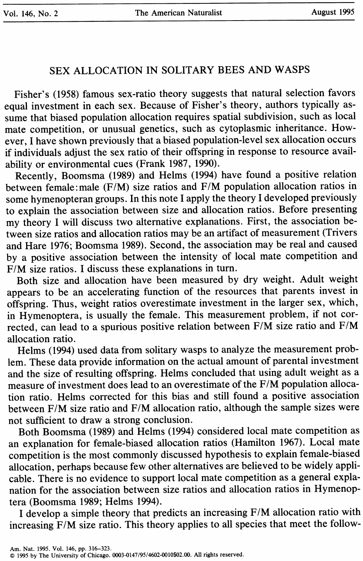# SEX ALLOCATION IN SOLITARY BEES AND WASPS

Fisher's (1958) famous sex-ratio theory suggests that natural selection favors equal investment in each sex. Because of Fisher's theory, authors typically assume that biased population allocation requires spatial subdivision, such as local mate competition, or unusual genetics, such as cytoplasmic inheritance. However, I have shown previously that a biased population-level sex allocation occurs if individuals adjust the sex ratio of their offspring in response to resource availability or environmental cues (Frank 1987, 1990).

Recently, Boomsma (1989) and Helms (1994) have found a positive relation between female: male (F/M) size ratios and F/M population allocation ratios in some hymenopteran groups. In this note I apply the theory I developed previously to explain the association between size and allocation ratios. Before presenting my theory I will discuss two alternative explanations. First, the association between size ratios and allocation ratios may be an artifact of measurement (Trivers and Hare 1976; Boomsma 1989). Second, the association may be real and caused by a positive association between the intensity of local mate competition and F/M size ratios. I discuss these explanations in turn.

Both size and allocation have been measured by dry weight. Adult weight appears to be an accelerating function of the resources that parents invest in offspring. Thus, weight ratios overestimate investment in the larger sex, which, in Hymenoptera, is usually the female. This measurement problem, if not corrected, can lead to a spurious positive relation between F/M size ratio and F/M allocation ratio.

Helms (1994) used data from solitary wasps to analyze the measurement problem. These data provide information on the actual amount of parental investment and the size of resulting offspring. Helms concluded that using adult weight as a measure of investment does lead to an overestimate of the F/M population allocation ratio. Helms corrected for this bias and still found a positive association between F/M size ratio and F/M allocation ratio, although the sample sizes were not sufficient to draw a strong conclusion.

Both Boomsma (1989) and Helms (1994) considered local mate competition as an explanation for female-biased allocation ratios (Hamilton 1967). Local mate competition is the most commonly discussed hypothesis to explain female-biased allocation, perhaps because few other alternatives are believed to be widely applicable. There is no evidence to support local mate competition as a general explanation for the association between size ratios and allocation ratios in Hymenoptera (Boomsma 1989; Helms 1994).

I develop a simple theory that predicts an increasing F/M allocation ratio with increasing F/M size ratio. This theory applies to all species that meet the follow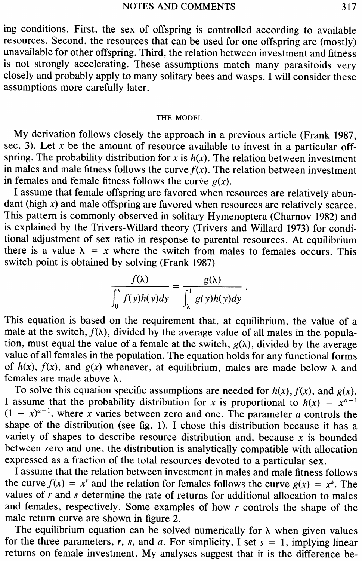ing conditions. First, the sex of offspring is controlled according to available resources. Second, the resources that can be used for one offspring are (mostly) unavailable for other offspring. Third, the relation between investment and fitness is not strongly accelerating. These assumptions match many parasitoids very closely and probably apply to many solitary bees and wasps. I will consider these assumptions more carefully later.

## THE MODEL

My derivation follows closely the approach in a previous article (Frank 1987, sec. 3). Let x be the amount of resource available to invest in a particular offspring. The probability distribution for  $x$  is  $h(x)$ . The relation between investment in males and male fitness follows the curve  $f(x)$ . The relation between investment in females and female fitness follows the curve  $g(x)$ .

I assume that female offspring are favored when resources are relatively abundant (high  $x$ ) and male offspring are favored when resources are relatively scarce. This pattern is commonly observed in solitary Hymenoptera (Charnov 1982) and is explained by the Trivers-Willard theory (Trivers and Willard 1973) for conditional adjustment of sex ratio in response to parental resources. At equilibrium there is a value  $\lambda = x$  where the switch from males to females occurs. This switch point is obtained by solving (Frank 1987)

$$
\frac{f(\lambda)}{\int_0^{\lambda} f(y)h(y)dy} = \frac{g(\lambda)}{\int_{\lambda}^1 g(y)h(y)dy}
$$

This equation is based on the requirement that, at equilibrium, the value of a male at the switch,  $f(\lambda)$ , divided by the average value of all males in the population, must equal the value of a female at the switch,  $g(\lambda)$ , divided by the average value of all females in the population. The equation holds for any functional forms of  $h(x)$ ,  $f(x)$ , and  $g(x)$  whenever, at equilibrium, males are made below  $\lambda$  and females are made above  $\lambda$ .

To solve this equation specific assumptions are needed for  $h(x)$ ,  $f(x)$ , and  $g(x)$ . I assume that the probability distribution for x is proportional to  $h(x) = x^{a-1}$  $(1 - x)^{a-1}$ , where x varies between zero and one. The parameter *a* controls the shape of the distribution (see fig. 1). I chose this distribution because it has a variety of shapes to describe resource distribution and, because  $x$  is bounded between zero and one, the distribution is analytically compatible with allocation expressed as a fraction of the total resources devoted to a particular sex.

I assume that the relation between investment in males and male fitness follows the curve  $f(x) = x^r$  and the relation for females follows the curve  $g(x) = x^s$ . The values of *r* and s determine the rate of returns for additional allocation to males and females, respectively. Some examples of how *r* controls the shape of the male return curve are shown in figure 2.

The equilibrium equation can be solved numerically for  $\lambda$  when given values for the three parameters,  $r$ ,  $s$ , and  $a$ . For simplicity, I set  $s = 1$ , implying linear returns on female investment. My analyses suggest that it is the difference be-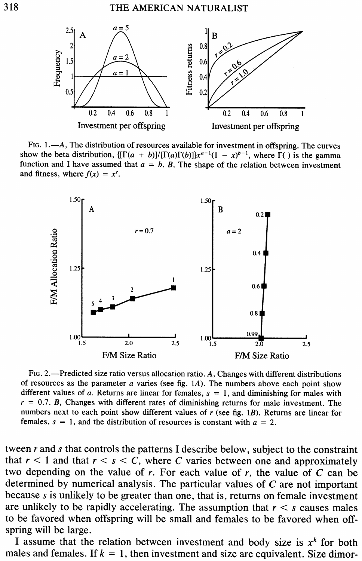

FIG. 1.—A, The distribution of resources available for investment in offspring. The curves show the beta distribution,  $\{[\Gamma(a + b)]/[\Gamma(a)\Gamma(b)]\}x^{a-1}(1 - x)^{b-1}$ , where  $\Gamma(\ )$  is the gamma function and I have assumed that  $a = b$ . B, The shape of the relation between investment and fitness, where  $f(x) = x^r$ .



2.—Predicted size ratio versus allocation ratio. A, Changes with different distributions of resources as the parameter *a* varies (see fig. 1A). The numbers above each point show different values of  $a$ . Returns are linear for females,  $s = 1$ , and diminishing for males with  $r = 0.7$ . *B*, Changes with different rates of diminishing returns for male investment. The numbers next to each point show different values of *r* (see fig. *1B).* Returns are linear for females,  $s = 1$ , and the distribution of resources is constant with  $a = 2$ .

tween *r* and *s* that controls the patterns I describe below, subject to the constraint that  $r < 1$  and that  $r < s < C$ , where C varies between one and approximately two depending on the value of  $r$ . For each value of  $r$ , the value of  $C$  can be determined by numerical analysis. The particular values of C are not important because *s* is unlikely to be greater than one, that is, returns on female investment are unlikely to be rapidly accelerating. The assumption that  $r < s$  causes males to be favored when offspring will be small and females to be favored when offspring will be large.

I assume that the relation between investment and body size is  $x<sup>k</sup>$  for both males and females. If  $k = 1$ , then investment and size are equivalent. Size dimor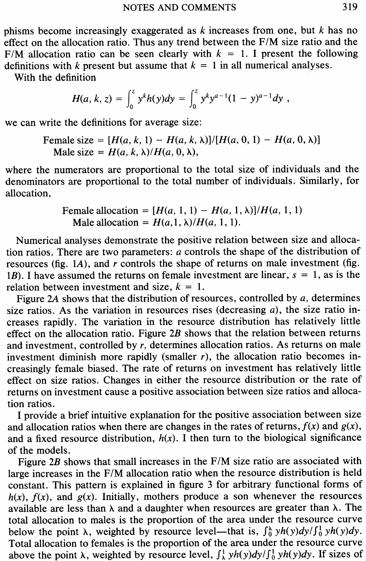phisms become increasingly exaggerated as *k* increases from one, but *k* has no effect on the allocation ratio. Thus any trend between the F/M size ratio and the F/M allocation ratio can be seen clearly with  $k = 1$ . I present the following definitions with *k* present but assume that  $k = 1$  in all numerical analyses.

With the definition

$$
H(a, k, z) = \int_0^z y^k h(y) dy = \int_0^z y^k y^{a-1} (1 - y)^{a-1} dy,
$$

we can write the definitions for average size:

Female size =  $[H(a, k, 1) - H(a, k, \lambda)] / [H(a, 0, 1) - H(a, 0, \lambda)]$ Male size =  $H(a, k, \lambda)/H(a, 0, \lambda)$ ,

where the numerators are proportional to the total size of individuals and the denominators are proportional to the total number of individuals. Similarly, for allocation,

Female allocation = 
$$
[H(a, 1, 1) - H(a, 1, \lambda)]/H(a, 1, 1)
$$
   
\nMale allocation =  $H(a, 1, \lambda)/H(a, 1, 1)$ .

Numerical analyses demonstrate the positive relation between size and allocation ratios. There are two parameters: *a* controls the shape of the distribution of resources (fig. 1A), and *r* controls the shape of returns on male investment (fig. *1B).* I have assumed the returns on female investment are linear, *s =* 1, as is the relation between investment and size,  $k = 1$ .

Figure 2A shows that the distribution of resources, controlled by *a,* determines size ratios. As the variation in resources rises (decreasing *a),* the size ratio increases rapidly. The variation in the resource distribution has relatively little effect on the allocation ratio. Figure  $2B$  shows that the relation between returns and investment, controlled by *r,* determines allocation ratios. As returns on male investment diminish more rapidly (smaller *r),* the allocation ratio becomes increasingly female biased. The rate of returns on investment has relatively little effect on size ratios. Changes in either the resource distribution or the rate of returns on investment cause a positive association between size ratios and allocation ratios.

I provide a brief intuitive explanation for the positive association between size and allocation ratios when there are changes in the rates of returns,  $f(x)$  and  $g(x)$ , and a fixed resource distribution,  $h(x)$ . I then turn to the biological significance of the models.

Figure 2B shows that small increases in the F/M size ratio are associated with large increases in the F/M allocation ratio when the resource distribution is held constant. This pattern is explained in figure 3 for arbitrary functional forms of  $h(x)$ ,  $f(x)$ , and  $g(x)$ . Initially, mothers produce a son whenever the resources available are less than  $\lambda$  and a daughter when resources are greater than  $\lambda$ . The total allocation to males is the proportion of the area under the resource curve below the point  $\lambda$ , weighted by resource level—that is,  $\int_0^{\lambda} yh(y)dy/\int_0^1 yh(y)dy$ . Total allocation to females is the proportion of the area under the resource curve above the point  $\lambda$ , weighted by resource level,  $\int_{\lambda}^{1} yh(y)dy/\int_{0}^{1} yh(y)dy$ . If sizes of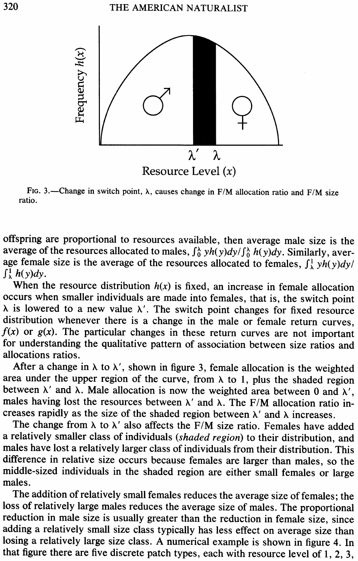

FIG. 3.—Change in switch point,  $\lambda$ , causes change in F/M allocation ratio and F/M size ratio.

offspring are proportional to resources available, then average male size is the average of the resources allocated to males,  $\int_0^{\lambda} yh(y)dy/\int_0^{\lambda} h(y)dy$ . Similarly, average female size is the average of the resources allocated to females,  $\int_{\lambda}^{1} yh(y)dy/$  $\int_{\lambda}^{1} h(y) dy$ .

When the resource distribution  $h(x)$  is fixed, an increase in female allocation occurs when smaller individuals are made into females, that is, the switch point  $\lambda$  is lowered to a new value  $\lambda'$ . The switch point changes for fixed resource distribution whenever there is a change in the male or female return curves,  $f(x)$  or  $g(x)$ . The particular changes in these return curves are not important for understanding the qualitative pattern of association between size ratios and allocations ratios.

After a change in  $\lambda$  to  $\lambda'$ , shown in figure 3, female allocation is the weighted area under the upper region of the curve, from  $\lambda$  to 1, plus the shaded region between  $\lambda'$  and  $\lambda$ . Male allocation is now the weighted area between 0 and  $\lambda'$ , males having lost the resources between  $\lambda'$  and  $\lambda$ . The F/M allocation ratio increases rapidly as the size of the shaded region between  $\lambda'$  and  $\lambda$  increases.

The change from  $\lambda$  to  $\lambda'$  also affects the F/M size ratio. Females have added a relatively smaller class of individuals *(shaded region)* to their distribution, and males have lost a relatively larger class of individuals from their distribution. This difference in relative size occurs because females are larger than males, so the middle-sized individuals in the shaded region are either small females or large males.

The addition of relatively small females reduces the average size of females; the loss of relatively large males reduces the average size of males. The proportional reduction in male size is usually greater than the reduction in female size, since adding a relatively small size class typically has less effect on average size than losing a relatively large size class. A numerical example is shown in figure 4. In that figure there are five discrete patch types, each with resource level of 1, 2, 3,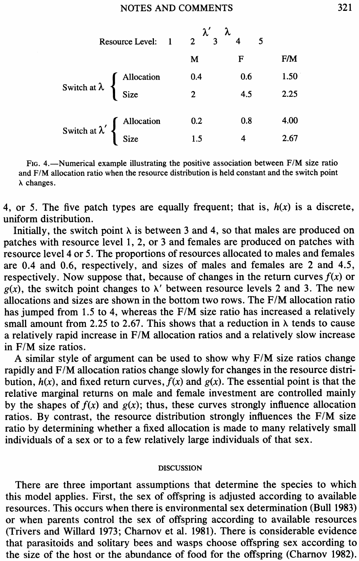|                                                                                                             | Resource Level: | $\begin{smallmatrix} \lambda' & \lambda \\ 3 & 4 \end{smallmatrix}$<br>$\overline{2}$ |     |      |
|-------------------------------------------------------------------------------------------------------------|-----------------|---------------------------------------------------------------------------------------|-----|------|
|                                                                                                             |                 | м                                                                                     | F   | F/M  |
| Switch at $\lambda \begin{cases} \text{ Allocation} \\ \text{Size} \end{cases}$                             |                 | 0.4                                                                                   | 0.6 | 1.50 |
|                                                                                                             |                 | $\overline{2}$                                                                        | 4.5 | 2.25 |
| Switch at $\lambda'$ $\left\{\n \begin{array}{c}\n \text{Allocation} \\ \text{Size}\n \end{array}\n\right.$ |                 | 0.2                                                                                   | 0.8 | 4.00 |
|                                                                                                             |                 | 1.5                                                                                   |     | 2.67 |

4.—Numerical example illustrating the positive association between F/M size ratio and F/M allocation ratio when the resource distribution is held constant and the switch point  $\lambda$  changes.

4, or 5. The five patch types are equally frequent; that is,  $h(x)$  is a discrete, uniform distribution.

Initially, the switch point  $\lambda$  is between 3 and 4, so that males are produced on patches with resource level 1, 2, or 3 and females are produced on patches with resource level 4 or 5. The proportions of resources allocated to males and females are 0.4 and 0.6, respectively, and sizes of males and females are 2 and 4.5, respectively. Now suppose that, because of changes in the return curves  $f(x)$  or  $g(x)$ , the switch point changes to  $\lambda'$  between resource levels 2 and 3. The new allocations and sizes are shown in the bottom two rows. The F/M allocation ratio has jumped from 1.5 to 4, whereas the F/M size ratio has increased a relatively small amount from 2.25 to 2.67. This shows that a reduction in  $\lambda$  tends to cause a relatively rapid increase in F/M allocation ratios and a relatively slow increase in F/M size ratios.

A similar style of argument can be used to show why F/M size ratios change rapidly and F/M allocation ratios change slowly for changes in the resource distribution,  $h(x)$ , and fixed return curves,  $f(x)$  and  $g(x)$ . The essential point is that the relative marginal returns on male and female investment are controlled mainly by the shapes of  $f(x)$  and  $g(x)$ ; thus, these curves strongly influence allocation ratios. By contrast, the resource distribution strongly influences the F/M size ratio by determining whether a fixed allocation is made to many relatively small individuals of a sex or to a few relatively large individuals of that sex.

#### DISCUSSION

There are three important assumptions that determine the species to which this model applies. First, the sex of offspring is adjusted according to available resources. This occurs when there is environmental sex determination (Bull 1983) or when parents control the sex of offspring according to available resources (Trivers and Willard 1973; Charnov et al. 1981). There is considerable evidence that parasitoids and solitary bees and wasps choose offspring sex according to the size of the host or the abundance of food for the offspring (Charnov 1982).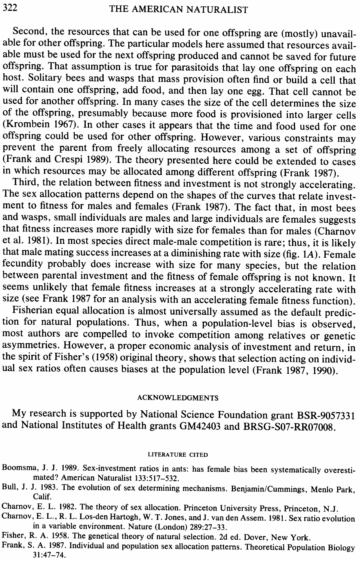Second, the resources that can be used for one offspring are (mostly) unavailable for other offspring. The particular models here assumed that resources available must be used for the next offspring produced and cannot be saved for future offspring. That assumption is true for parasitoids that lay one offspring on each host. Solitary bees and wasps that mass provision often find or build a cell that will contain one offspring, add food, and then lay one egg. That cell cannot be used for another offspring. In many cases the size of the cell determines the size of the offspring, presumably because more food is provisioned into larger cells (Krombein 1967). In other cases it appears that the time and food used for one offspring could be used for other offspring. However, various constraints may prevent the parent from freely allocating resources among a set of offspring (Frank and Crespi 1989). The theory presented here could be extended to cases in which resources may be allocated among different offspring (Frank 1987).

Third, the relation between fitness and investment is not strongly accelerating. The sex allocation patterns depend on the shapes of the curves that relate investment to fitness for males and females (Frank 1987). The fact that, in most bees and wasps, small individuals are males and large individuals are females suggests that fitness increases more rapidly with size for females than for males (Charnov et al. 1981). In most species direct male-male competition is rare; thus, it is likely that male mating success increases at a diminishing rate with size (fig. 1A). Female fecundity probably does increase with size for many species, but the relation between parental investment and the fitness of female offspring is not known. It seems unlikely that female fitness increases at a strongly accelerating rate with size (see Frank 1987 for an analysis with an accelerating female fitness function).

Fisherian equal allocation is almost universally assumed as the default prediction for natural populations. Thus, when a population-level bias is observed, most authors are compelled to invoke competition among relatives or genetic asymmetries. However, a proper economic analysis of investment and return, in the spirit of Fisher's (1958) original theory, shows that selection acting on individual sex ratios often causes biases at the population level (Frank 1987, 1990).

## ACKNOWLEDGMENTS

My research is supported by National Science Foundation grant BSR-9057331 and National Institutes of Health grants GM42403 and **BRSG-507-RR07008.**

### LITERATURE CITED

- Boomsma, J. J. 1989. Sex-investment ratios in ants: has female bias been systematically overestimated? American Naturalist 133:517-532.
- Bull, J. J. 1983. The evolution of sex determining mechanisms. Benjamin/Cummings, Menlo Park, Calif.

Charnov, E. L. 1982. The theory of sex allocation. Princeton University Press, Princeton, N.J.

Charnov, E. L., R. L. Los-den Hartogh, W. T. Jones, and J. van den Assem. 1981. Sex ratio evolution in a variable environment. Nature (London) 289:27-33.

Fisher, R. A. 1958. The genetical theory of natural selection. 2d ed. Dover, New York.

Frank, S. A. 1987. Individual and population sex allocation patterns. Theoretical Population Biology 31:47-74.